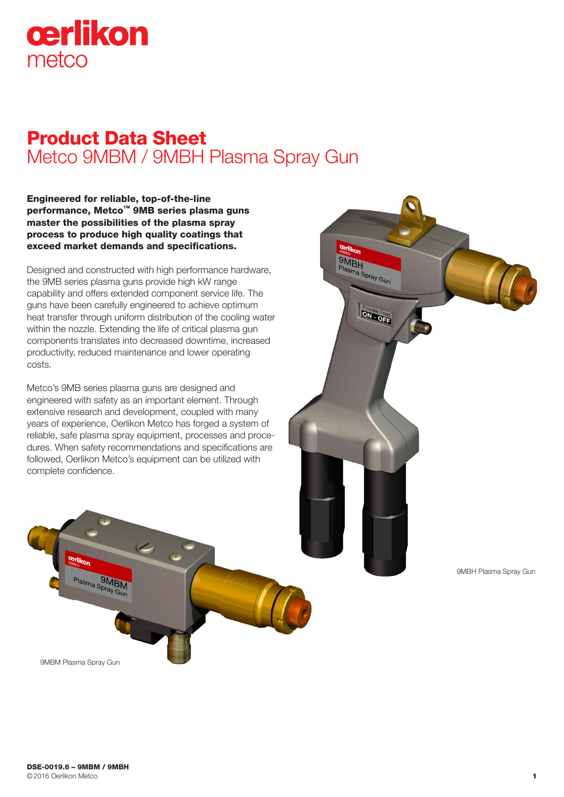

# Product Data Sheet Metco 9MBM / 9MBH Plasma Spray Gun

**Cerlik** 

Plasma Spray Gun

**Powder Feed** 

Engineered for reliable, top-of-the-line performance, Metco™ 9MB series plasma guns master the possibilities of the plasma spray process to produce high quality coatings that exceed market demands and specifications.

Designed and constructed with high performance hardware, the 9MB series plasma guns provide high kW range capability and offers extended component service life. The guns have been carefully engineered to achieve optimum heat transfer through uniform distribution of the cooling water within the nozzle. Extending the life of critical plasma gun components translates into decreased downtime, increased productivity, reduced maintenance and lower operating costs.

Metco's 9MB series plasma guns are designed and engineered with safety as an important element. Through extensive research and development, coupled with many years of experience, Oerlikon Metco has forged a system of reliable, safe plasma spray equipment, processes and procedures. When safety recommendations and specifications are followed, Oerlikon Metco's equipment can be utilized with complete confidence.



9MBM Plasma Spray Gun

Plasma Spray Gun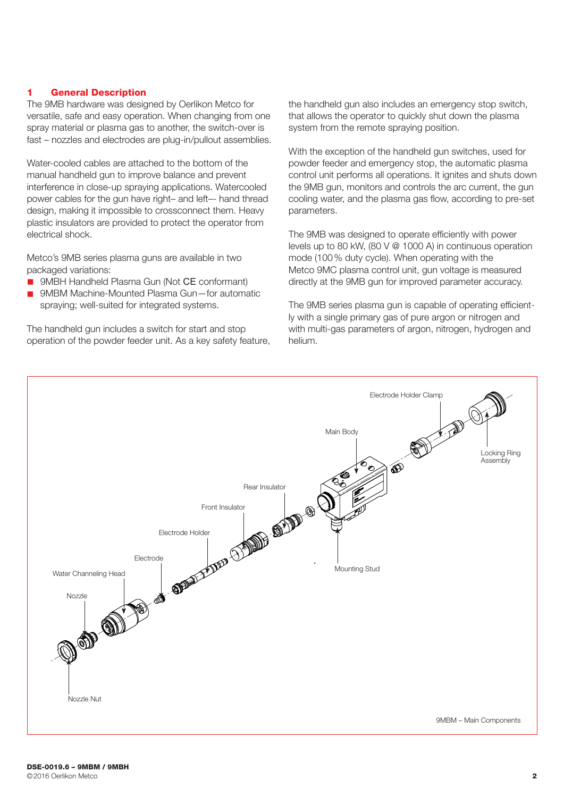### 1 General Description

The 9MB hardware was designed by Oerlikon Metco for versatile, safe and easy operation. When changing from one spray material or plasma gas to another, the switch-over is fast – nozzles and electrodes are plug-in/pullout assemblies.

Water-cooled cables are attached to the bottom of the manual handheld gun to improve balance and prevent interference in close-up spraying applications. Watercooled power cables for the gun have right– and left–- hand thread design, making it impossible to crossconnect them. Heavy plastic insulators are provided to protect the operator from electrical shock.

Metco's 9MB series plasma guns are available in two packaged variations:

- 9MBH Handheld Plasma Gun (Not CE conformant)
- 9MBM Machine-Mounted Plasma Gun-for automatic spraying; well-suited for integrated systems.

The handheld gun includes a switch for start and stop operation of the powder feeder unit. As a key safety feature, the handheld gun also includes an emergency stop switch, that allows the operator to quickly shut down the plasma system from the remote spraying position.

With the exception of the handheld gun switches, used for powder feeder and emergency stop, the automatic plasma control unit performs all operations. It ignites and shuts down the 9MB gun, monitors and controls the arc current, the gun cooling water, and the plasma gas flow, according to pre-set parameters.

The 9MB was designed to operate efficiently with power levels up to 80 kW, (80 V @ 1000 A) in continuous operation mode (100 % duty cycle). When operating with the Metco 9MC plasma control unit, gun voltage is measured directly at the 9MB gun for improved parameter accuracy.

The 9MB series plasma gun is capable of operating efficiently with a single primary gas of pure argon or nitrogen and with multi-gas parameters of argon, nitrogen, hydrogen and helium.

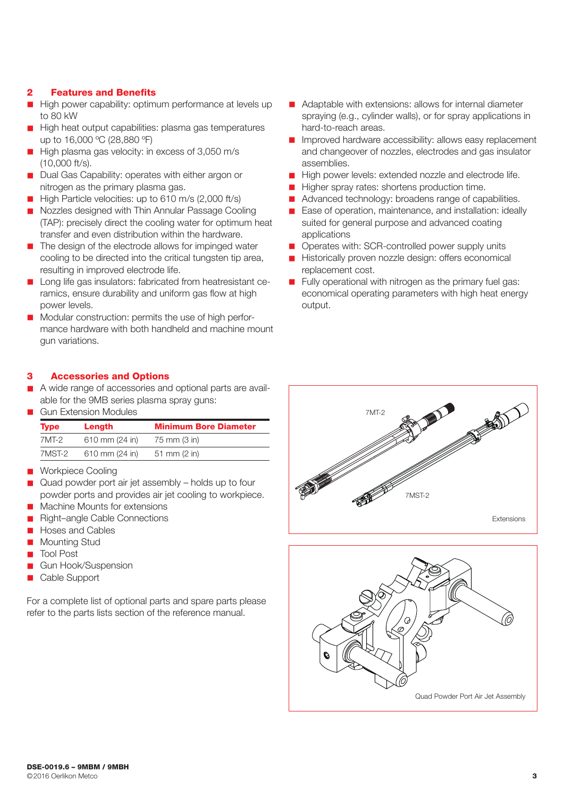## 2 Features and Benefits

- High power capability: optimum performance at levels up to 80 kW
- High heat output capabilities: plasma gas temperatures up to 16,000 ºC (28,880 ºF)
- High plasma gas velocity: in excess of 3,050 m/s (10,000 ft/s).
- Dual Gas Capability: operates with either argon or nitrogen as the primary plasma gas.
- $\blacksquare$  High Particle velocities: up to 610 m/s (2,000 ft/s)
- n Nozzles designed with Thin Annular Passage Cooling (TAP): precisely direct the cooling water for optimum heat transfer and even distribution within the hardware.
- $\blacksquare$  The design of the electrode allows for impinged water cooling to be directed into the critical tungsten tip area, resulting in improved electrode life.
- Long life gas insulators: fabricated from heatresistant ceramics, ensure durability and uniform gas flow at high power levels.
- Modular construction: permits the use of high performance hardware with both handheld and machine mount gun variations.

## 3 Accessories and Options

- A wide range of accessories and optional parts are available for the 9MB series plasma spray guns:
- n Gun Extension Modules

| <b>Type</b> | Length         | <b>Minimum Bore Diameter</b> |
|-------------|----------------|------------------------------|
| $7MT-2$     | 610 mm (24 in) | 75 mm (3 in)                 |
| 7MST-2      | 610 mm (24 in) | 51 mm $(2 \text{ in})$       |

- **n** Workpiece Cooling
- $\Box$  Quad powder port air jet assembly holds up to four powder ports and provides air jet cooling to workpiece.
- Machine Mounts for extensions
- Right–angle Cable Connections
- Hoses and Cables
- Mounting Stud
- **Tool Post**
- n Gun Hook/Suspension
- Cable Support

For a complete list of optional parts and spare parts please refer to the parts lists section of the reference manual.

- Adaptable with extensions: allows for internal diameter spraying (e.g., cylinder walls), or for spray applications in hard-to-reach areas.
- **n** Improved hardware accessibility: allows easy replacement and changeover of nozzles, electrodes and gas insulator assemblies.
- High power levels: extended nozzle and electrode life.
- Higher spray rates: shortens production time.
- Advanced technology: broadens range of capabilities.
- Ease of operation, maintenance, and installation: ideally suited for general purpose and advanced coating applications
- **n** Operates with: SCR-controlled power supply units
- **n** Historically proven nozzle design: offers economical replacement cost.
- $\blacksquare$  Fully operational with nitrogen as the primary fuel gas: economical operating parameters with high heat energy output.